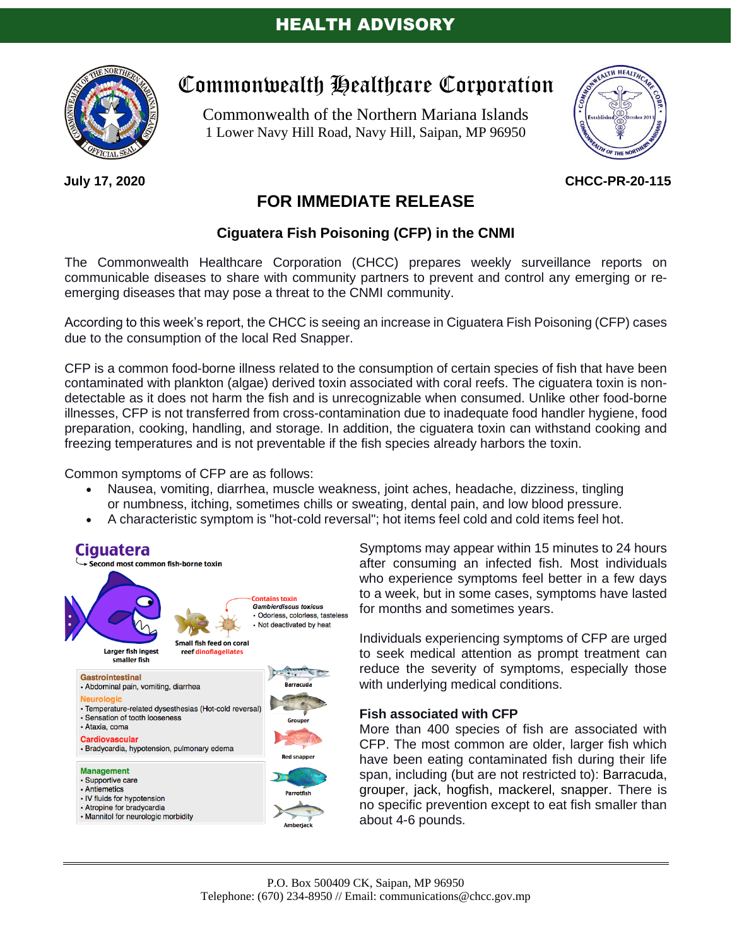

### **July 17, 2020**

# Commonwealth Healthcare Corporation

Commonwealth of the Northern Mariana Islands 1 Lower Navy Hill Road, Navy Hill, Saipan, MP 96950



### **CHCC-PR-20-115**

## **FOR IMMEDIATE RELEASE**

### **Ciguatera Fish Poisoning (CFP) in the CNMI**

The Commonwealth Healthcare Corporation (CHCC) prepares weekly surveillance reports on communicable diseases to share with community partners to prevent and control any emerging or reemerging diseases that may pose a threat to the CNMI community.

According to this week's report, the CHCC is seeing an increase in Ciguatera Fish Poisoning (CFP) cases due to the consumption of the local Red Snapper.

CFP is a common food-borne illness related to the consumption of certain species of fish that have been contaminated with plankton (algae) derived toxin associated with coral reefs. The ciguatera toxin is nondetectable as it does not harm the fish and is unrecognizable when consumed. Unlike other food-borne illnesses, CFP is not transferred from cross-contamination due to inadequate food handler hygiene, food preparation, cooking, handling, and storage. In addition, the ciguatera toxin can withstand cooking and freezing temperatures and is not preventable if the fish species already harbors the toxin.

Common symptoms of CFP are as follows:

- Nausea, vomiting, diarrhea, muscle weakness, joint aches, headache, dizziness, tingling or numbness, itching, sometimes chills or sweating, dental pain, and low blood pressure.
- A characteristic symptom is "hot-cold reversal"; hot items feel cold and cold items feel hot.



Symptoms may appear within 15 minutes to 24 hours after consuming an infected fish. Most individuals who experience symptoms feel better in a few days to a week, but in some cases, symptoms have lasted for months and sometimes years.

Individuals experiencing symptoms of CFP are urged to seek medical attention as prompt treatment can reduce the severity of symptoms, especially those with underlying medical conditions.

#### **Fish associated with CFP**

More than 400 species of fish are associated with CFP. The most common are older, larger fish which have been eating contaminated fish during their life span, including (but are not restricted to): Barracuda, grouper, jack, hogfish, mackerel, snapper. There is no specific prevention except to eat fish smaller than about 4-6 pounds.